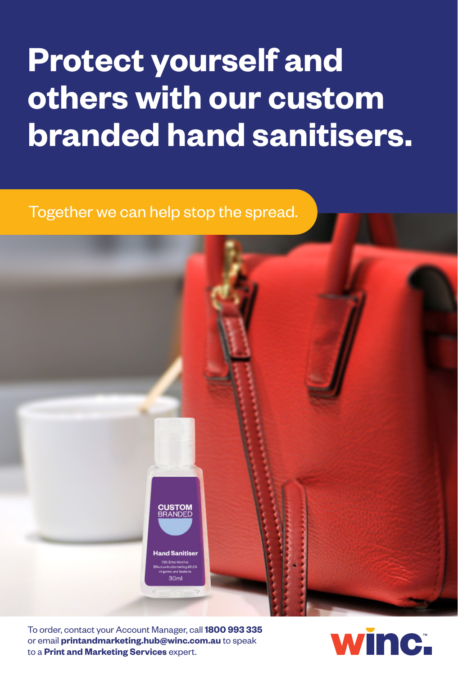## **Protect yourself and others with our custom branded hand sanitisers.**

Together we can help stop the spread.



To order, contact your Account Manager, call **1800 993 335** or email **printandmarketing.hub@winc.com.au** to speak to a **Print and Marketing Services** expert.